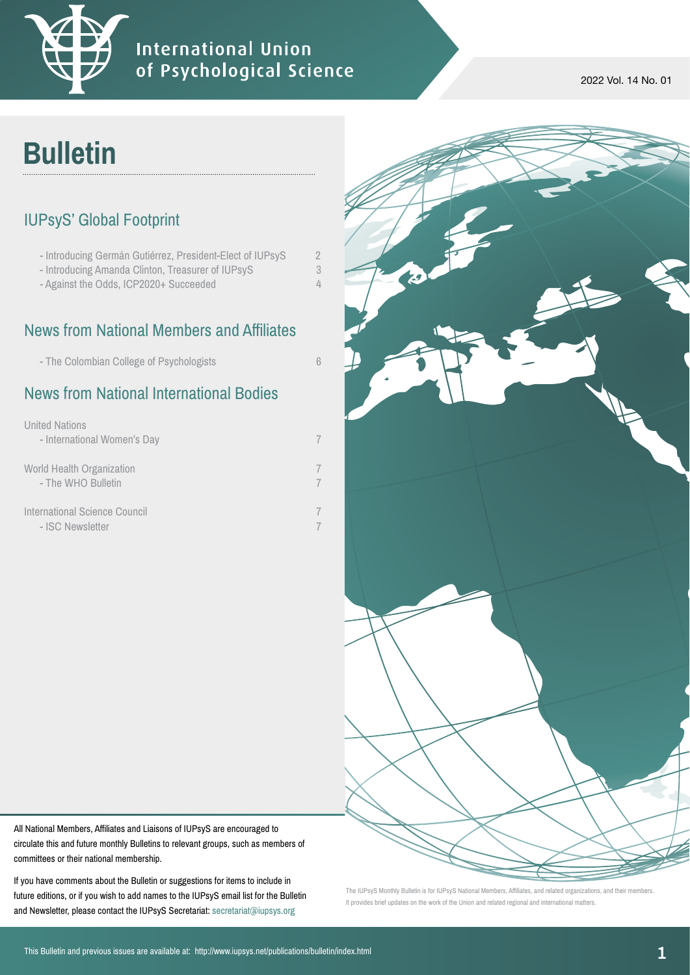

### **International Union** of Psychological Science

2022 Vol. 14 No. 01

# **Bulletin**

#### IUPsyS' Global Footprint

| - Introducing Germán Gutiérrez, President-Elect of IUPsyS |          |
|-----------------------------------------------------------|----------|
| - Introducing Amanda Clinton, Treasurer of IUPsyS         |          |
| - Against the Odds, ICP2020+ Succeeded                    | $\Delta$ |
|                                                           |          |

## News from National Members and Affiliates

### News from National International Bodies

| <b>United Nations</b><br>- International Women's Day |  |
|------------------------------------------------------|--|
| World Health Organization<br>- The WHO Bulletin      |  |
| International Science Council<br>- ISC Newsletter    |  |



All National Members, Affiliates and Liaisons of IUPsyS are encouraged to circulate this and future monthly Bulletins to relevant groups, such as members of committees or their national membership.

If you have comments about the Bulletin or suggestions for items to include in future editions, or if you wish to add names to the IUPsyS email list for the Bulletin and Newsletter, please contact the IUPsyS Secretariat: [secretariat@iupsys.org](mailto:secretariat%40iupsys.org?subject=Bulletin)

The IUPsyS Monthly Bulletin is for IUPsyS National Members, Affiliates, and related organizations, and their members. It provides brief updates on the work of the Union and related regional and international matters.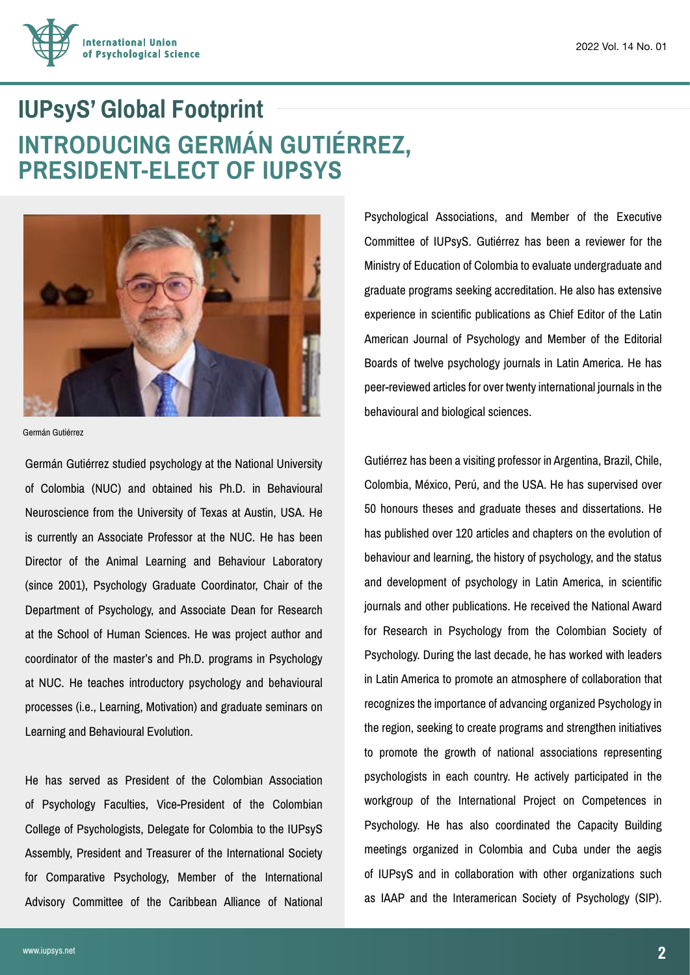

## **IUPsyS' Global Footprint INTRODUCING GERMÁN GUTIÉRREZ, PRESIDENT-ELECT OF IUPSYS**



Germán Gutiérrez

Germán Gutiérrez studied psychology at the National University of Colombia (NUC) and obtained his Ph.D. in Behavioural Neuroscience from the University of Texas at Austin, USA. He is currently an Associate Professor at the NUC. He has been Director of the Animal Learning and Behaviour Laboratory (since 2001), Psychology Graduate Coordinator, Chair of the Department of Psychology, and Associate Dean for Research at the School of Human Sciences. He was project author and coordinator of the master's and Ph.D. programs in Psychology at NUC. He teaches introductory psychology and behavioural processes (i.e., Learning, Motivation) and graduate seminars on Learning and Behavioural Evolution.

He has served as President of the Colombian Association of Psychology Faculties, Vice-President of the Colombian College of Psychologists, Delegate for Colombia to the IUPsyS Assembly, President and Treasurer of the International Society for Comparative Psychology, Member of the International Advisory Committee of the Caribbean Alliance of National Psychological Associations, and Member of the Executive Committee of IUPsyS. Gutiérrez has been a reviewer for the Ministry of Education of Colombia to evaluate undergraduate and graduate programs seeking accreditation. He also has extensive experience in scientific publications as Chief Editor of the Latin American Journal of Psychology and Member of the Editorial Boards of twelve psychology journals in Latin America. He has peer-reviewed articles for over twenty international journals in the behavioural and biological sciences.

Gutiérrez has been a visiting professor in Argentina, Brazil, Chile, Colombia, México, Perú, and the USA. He has supervised over 50 honours theses and graduate theses and dissertations. He has published over 120 articles and chapters on the evolution of behaviour and learning, the history of psychology, and the status and development of psychology in Latin America, in scientific journals and other publications. He received the National Award for Research in Psychology from the Colombian Society of Psychology. During the last decade, he has worked with leaders in Latin America to promote an atmosphere of collaboration that recognizes the importance of advancing organized Psychology in the region, seeking to create programs and strengthen initiatives to promote the growth of national associations representing psychologists in each country. He actively participated in the workgroup of the International Project on Competences in Psychology. He has also coordinated the Capacity Building meetings organized in Colombia and Cuba under the aegis of IUPsyS and in collaboration with other organizations such as IAAP and the Interamerican Society of Psychology (SIP).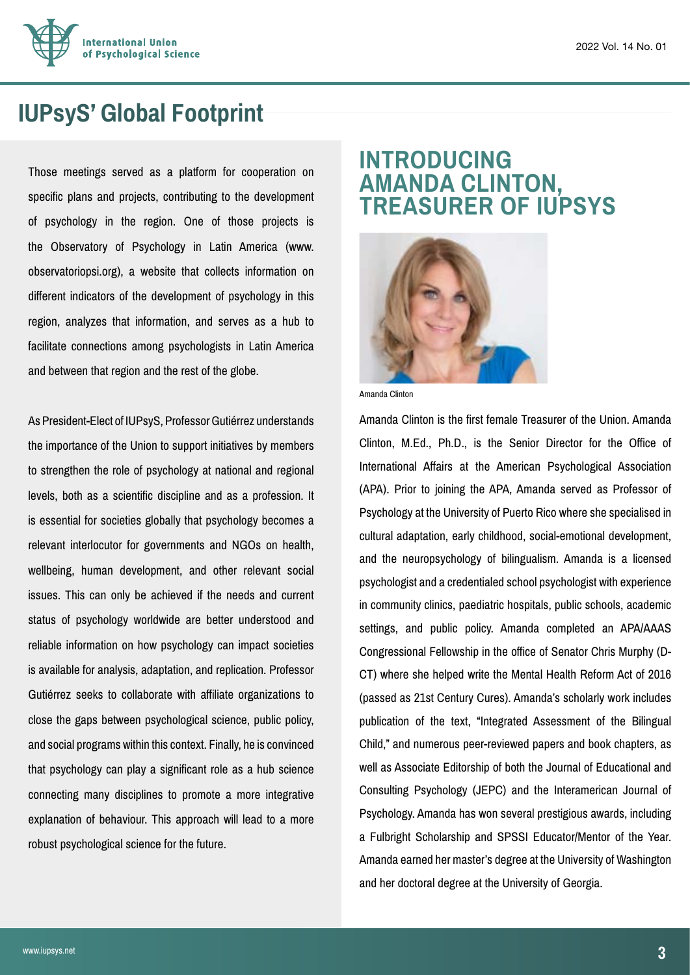

### **IUPsyS' Global Footprint**

Those meetings served as a platform for cooperation on specific plans and projects, contributing to the development of psychology in the region. One of those projects is the Observatory of Psychology in Latin America (www. observatoriopsi.org), a website that collects information on different indicators of the development of psychology in this region, analyzes that information, and serves as a hub to facilitate connections among psychologists in Latin America and between that region and the rest of the globe.

As President-Elect of IUPsyS, Professor Gutiérrez understands the importance of the Union to support initiatives by members to strengthen the role of psychology at national and regional levels, both as a scientific discipline and as a profession. It is essential for societies globally that psychology becomes a relevant interlocutor for governments and NGOs on health, wellbeing, human development, and other relevant social issues. This can only be achieved if the needs and current status of psychology worldwide are better understood and reliable information on how psychology can impact societies is available for analysis, adaptation, and replication. Professor Gutiérrez seeks to collaborate with affiliate organizations to close the gaps between psychological science, public policy, and social programs within this context. Finally, he is convinced that psychology can play a significant role as a hub science connecting many disciplines to promote a more integrative explanation of behaviour. This approach will lead to a more robust psychological science for the future.

### **INTRODUCING AMANDA CLINTON, TREASURER OF IUPSYS**



Amanda Clinton

Amanda Clinton is the first female Treasurer of the Union. Amanda Clinton, M.Ed., Ph.D., is the Senior Director for the Office of International Affairs at the American Psychological Association (APA). Prior to joining the APA, Amanda served as Professor of Psychology at the University of Puerto Rico where she specialised in cultural adaptation, early childhood, social-emotional development, and the neuropsychology of bilingualism. Amanda is a licensed psychologist and a credentialed school psychologist with experience in community clinics, paediatric hospitals, public schools, academic settings, and public policy. Amanda completed an APA/AAAS Congressional Fellowship in the office of Senator Chris Murphy (D-CT) where she helped write the Mental Health Reform Act of 2016 (passed as 21st Century Cures). Amanda's scholarly work includes publication of the text, "Integrated Assessment of the Bilingual Child," and numerous peer-reviewed papers and book chapters, as well as Associate Editorship of both the Journal of Educational and Consulting Psychology (JEPC) and the Interamerican Journal of Psychology. Amanda has won several prestigious awards, including a Fulbright Scholarship and SPSSI Educator/Mentor of the Year. Amanda earned her master's degree at the University of Washington and her doctoral degree at the University of Georgia.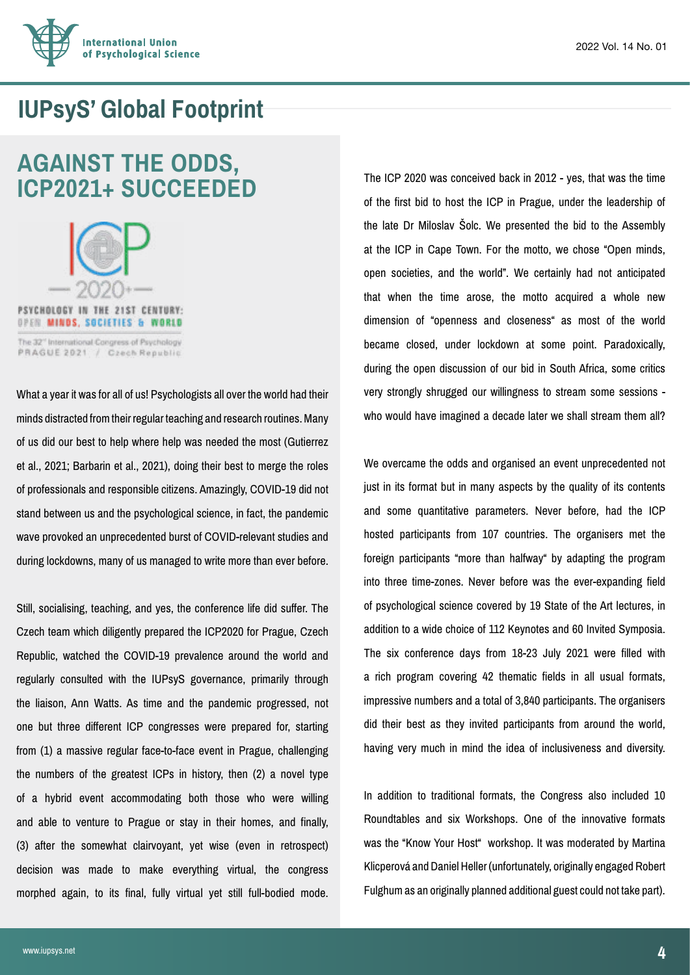

### **IUPsyS' Global Footprint**

### **AGAINST THE ODDS, ICP2021+ SUCCEEDED**



PRAGUE 2021 / Czech Republic

What a year it was for all of us! Psychologists all over the world had their minds distracted from their regular teaching and research routines. Many of us did our best to help where help was needed the most (Gutierrez et al., 2021; Barbarin et al., 2021), doing their best to merge the roles of professionals and responsible citizens. Amazingly, COVID-19 did not stand between us and the psychological science, in fact, the pandemic wave provoked an unprecedented burst of COVID-relevant studies and during lockdowns, many of us managed to write more than ever before.

Still, socialising, teaching, and yes, the conference life did suffer. The Czech team which diligently prepared the ICP2020 for Prague, Czech Republic, watched the COVID-19 prevalence around the world and regularly consulted with the IUPsyS governance, primarily through the liaison, Ann Watts. As time and the pandemic progressed, not one but three different ICP congresses were prepared for, starting from (1) a massive regular face-to-face event in Prague, challenging the numbers of the greatest ICPs in history, then (2) a novel type of a hybrid event accommodating both those who were willing and able to venture to Prague or stay in their homes, and finally, (3) after the somewhat clairvoyant, yet wise (even in retrospect) decision was made to make everything virtual, the congress morphed again, to its final, fully virtual yet still full-bodied mode.

The ICP 2020 was conceived back in 2012 - yes, that was the time of the first bid to host the ICP in Prague, under the leadership of the late Dr Miloslav Šolc. We presented the bid to the Assembly at the ICP in Cape Town. For the motto, we chose "Open minds, open societies, and the world". We certainly had not anticipated that when the time arose, the motto acquired a whole new dimension of "openness and closeness" as most of the world became closed, under lockdown at some point. Paradoxically, during the open discussion of our bid in South Africa, some critics very strongly shrugged our willingness to stream some sessions who would have imagined a decade later we shall stream them all?

We overcame the odds and organised an event unprecedented not just in its format but in many aspects by the quality of its contents and some quantitative parameters. Never before, had the ICP hosted participants from 107 countries. The organisers met the foreign participants "more than halfway" by adapting the program into three time-zones. Never before was the ever-expanding field of psychological science covered by 19 State of the Art lectures, in addition to a wide choice of 112 Keynotes and 60 Invited Symposia. The six conference days from 18-23 July 2021 were filled with a rich program covering 42 thematic fields in all usual formats, impressive numbers and a total of 3,840 participants. The organisers did their best as they invited participants from around the world, having very much in mind the idea of inclusiveness and diversity.

In addition to traditional formats, the Congress also included 10 Roundtables and six Workshops. One of the innovative formats was the "Know Your Host" workshop. It was moderated by Martina Klicperová and Daniel Heller (unfortunately, originally engaged Robert Fulghum as an originally planned additional guest could not take part).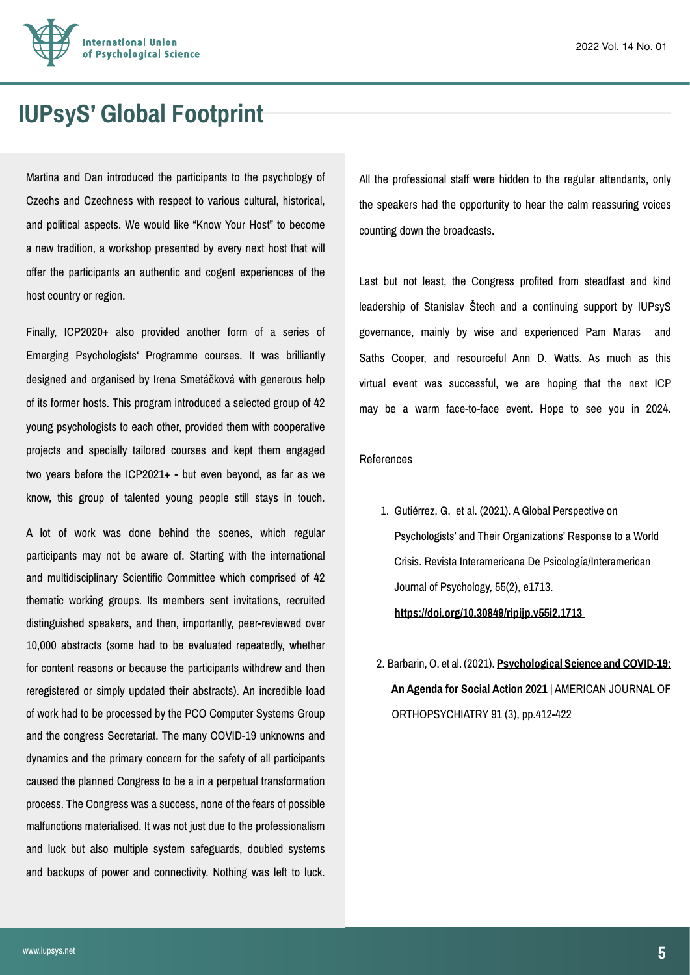

### **IUPsyS' Global Footprint**

Martina and Dan introduced the participants to the psychology of Czechs and Czechness with respect to various cultural, historical, and political aspects. We would like "Know Your Host" to become a new tradition, a workshop presented by every next host that will offer the participants an authentic and cogent experiences of the host country or region.

Finally, ICP2020+ also provided another form of a series of Emerging Psychologists' Programme courses. It was brilliantly designed and organised by Irena Smetáčková with generous help of its former hosts. This program introduced a selected group of 42 young psychologists to each other, provided them with cooperative projects and specially tailored courses and kept them engaged two years before the ICP2021+ - but even beyond, as far as we know, this group of talented young people still stays in touch.

A lot of work was done behind the scenes, which regular participants may not be aware of. Starting with the international and multidisciplinary Scientific Committee which comprised of 42 thematic working groups. Its members sent invitations, recruited distinguished speakers, and then, importantly, peer-reviewed over 10,000 abstracts (some had to be evaluated repeatedly, whether for content reasons or because the participants withdrew and then reregistered or simply updated their abstracts). An incredible load of work had to be processed by the PCO Computer Systems Group and the congress Secretariat. The many COVID-19 unknowns and dynamics and the primary concern for the safety of all participants caused the planned Congress to be a in a perpetual transformation process. The Congress was a success, none of the fears of possible malfunctions materialised. It was not just due to the professionalism and luck but also multiple system safeguards, doubled systems and backups of power and connectivity. Nothing was left to luck.

All the professional staff were hidden to the regular attendants, only the speakers had the opportunity to hear the calm reassuring voices counting down the broadcasts.

Last but not least, the Congress profited from steadfast and kind leadership of Stanislav Štech and a continuing support by IUPsyS governance, mainly by wise and experienced Pam Maras and Saths Cooper, and resourceful Ann D. Watts. As much as this virtual event was successful, we are hoping that the next ICP may be a warm face-to-face event. Hope to see you in 2024.

#### References

- 1. Gutiérrez, G. et al. (2021). A Global Perspective on Psychologists' and Their Organizations' Response to a World Crisis. Revista Interamericana De Psicología/Interamerican Journal of Psychology, 55(2), e1713. **[https://doi.org/10.30849/ripijp.v55i2.1713](https://journal.sipsych.org/index.php/IJP/article/view/1713)**
- 2. Barbarin, O. et al. (2021). **[Psychological Science and COVID-19:](https://idp.lib.cas.cz/idp/Authn/UserPassword)   [An Agenda for Social Action 2021](https://idp.lib.cas.cz/idp/Authn/UserPassword)** | AMERICAN JOURNAL OF ORTHOPSYCHIATRY 91 (3), pp.412-422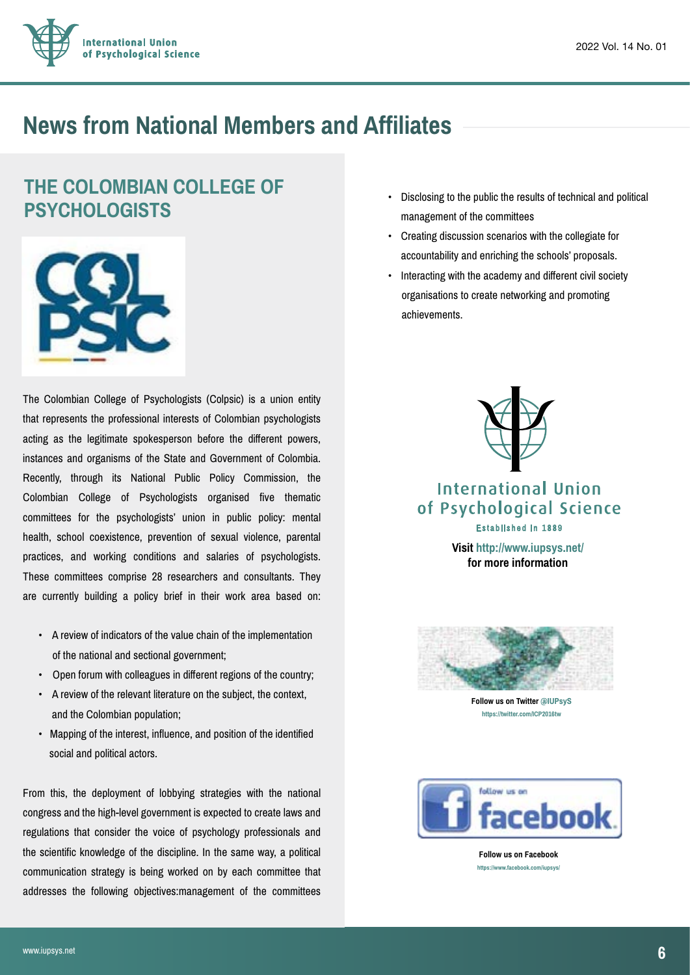

### **News from National Members and Affiliates**

### **THE COLOMBIAN COLLEGE OF PSYCHOLOGISTS**



The Colombian College of Psychologists (Colpsic) is a union entity that represents the professional interests of Colombian psychologists acting as the legitimate spokesperson before the different powers, instances and organisms of the State and Government of Colombia. Recently, through its National Public Policy Commission, the Colombian College of Psychologists organised five thematic committees for the psychologists' union in public policy: mental health, school coexistence, prevention of sexual violence, parental practices, and working conditions and salaries of psychologists. These committees comprise 28 researchers and consultants. They are currently building a policy brief in their work area based on:

- A review of indicators of the value chain of the implementation of the national and sectional government;
- Open forum with colleagues in different regions of the country;
- A review of the relevant literature on the subject, the context, and the Colombian population;
- Mapping of the interest, influence, and position of the identified social and political actors.

From this, the deployment of lobbying strategies with the national congress and the high-level government is expected to create laws and regulations that consider the voice of psychology professionals and the scientific knowledge of the discipline. In the same way, a political communication strategy is being worked on by each committee that addresses the following objectives:management of the committees

- Disclosing to the public the results of technical and political management of the committees
- Creating discussion scenarios with the collegiate for accountability and enriching the schools' proposals.
- Interacting with the academy and different civil society organisations to create networking and promoting achievements.



#### International Union of Psychological Science Established in 1889

**[Visit http://www.iupsys.net/](http://www.iupsys.net) for more information**



**Follow us on Twitter @IUPsyS <https://twitter.com/ICP2016tw>**



**Follow us on Facebook https://www.facebook.com/iupsys/**